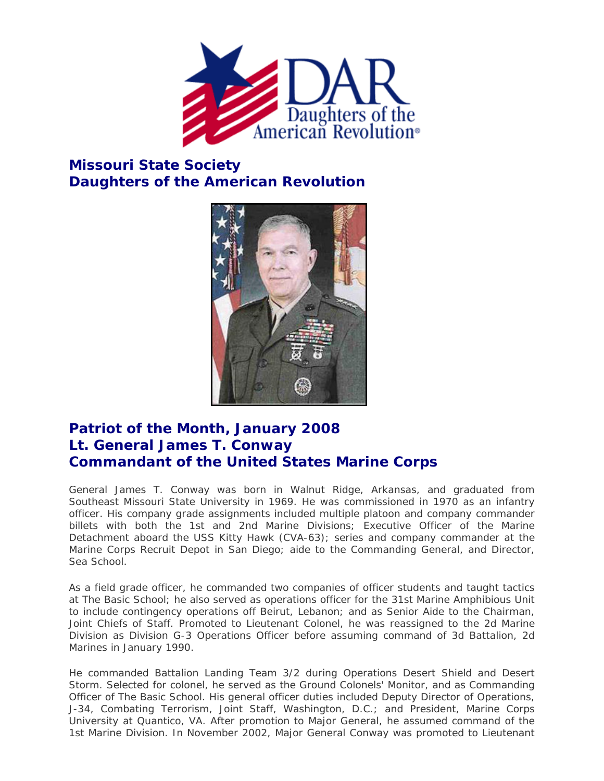

## **Missouri State Society Daughters of the American Revolution**



## **Patriot of the Month, January 2008 Lt. General James T. Conway Commandant of the United States Marine Corps**

General James T. Conway was born in Walnut Ridge, Arkansas, and graduated from Southeast Missouri State University in 1969. He was commissioned in 1970 as an infantry officer. His company grade assignments included multiple platoon and company commander billets with both the 1st and 2nd Marine Divisions; Executive Officer of the Marine Detachment aboard the USS Kitty Hawk (CVA-63); series and company commander at the Marine Corps Recruit Depot in San Diego; aide to the Commanding General, and Director, Sea School.

As a field grade officer, he commanded two companies of officer students and taught tactics at The Basic School; he also served as operations officer for the 31st Marine Amphibious Unit to include contingency operations off Beirut, Lebanon; and as Senior Aide to the Chairman, Joint Chiefs of Staff. Promoted to Lieutenant Colonel, he was reassigned to the 2d Marine Division as Division G-3 Operations Officer before assuming command of 3d Battalion, 2d Marines in January 1990.

He commanded Battalion Landing Team 3/2 during Operations Desert Shield and Desert Storm. Selected for colonel, he served as the Ground Colonels' Monitor, and as Commanding Officer of The Basic School. His general officer duties included Deputy Director of Operations, J-34, Combating Terrorism, Joint Staff, Washington, D.C.; and President, Marine Corps University at Quantico, VA. After promotion to Major General, he assumed command of the 1st Marine Division. In November 2002, Major General Conway was promoted to Lieutenant